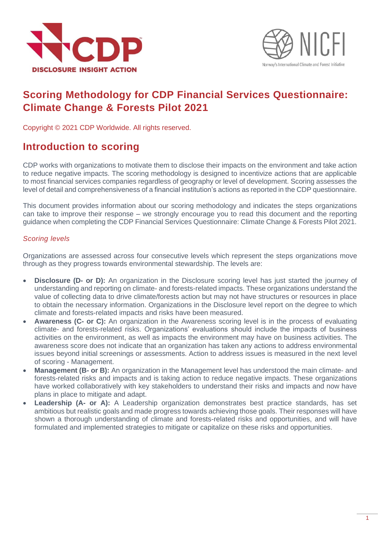



# **Scoring Methodology for CDP Financial Services Questionnaire: Climate Change & Forests Pilot 2021**

Copyright © 2021 CDP Worldwide. All rights reserved.

## **Introduction to scoring**

CDP works with organizations to motivate them to disclose their impacts on the environment and take action to reduce negative impacts. The scoring methodology is designed to incentivize actions that are applicable to most financial services companies regardless of geography or level of development. Scoring assesses the level of detail and comprehensiveness of a financial institution's actions as reported in the CDP questionnaire.

This document provides information about our scoring methodology and indicates the steps organizations can take to improve their response – we strongly encourage you to read this document and the reporting guidance when completing the CDP Financial Services Questionnaire: Climate Change & Forests Pilot 2021.

## *Scoring levels*

Organizations are assessed across four consecutive levels which represent the steps organizations move through as they progress towards environmental stewardship. The levels are:

- **Disclosure (D- or D):** An organization in the Disclosure scoring level has just started the journey of understanding and reporting on climate- and forests-related impacts. These organizations understand the value of collecting data to drive climate/forests action but may not have structures or resources in place to obtain the necessary information. Organizations in the Disclosure level report on the degree to which climate and forests-related impacts and risks have been measured.
- **Awareness (C- or C):** An organization in the Awareness scoring level is in the process of evaluating climate- and forests-related risks. Organizations' evaluations should include the impacts of business activities on the environment, as well as impacts the environment may have on business activities. The awareness score does not indicate that an organization has taken any actions to address environmental issues beyond initial screenings or assessments. Action to address issues is measured in the next level of scoring - Management.
- **Management (B- or B):** An organization in the Management level has understood the main climate- and forests-related risks and impacts and is taking action to reduce negative impacts. These organizations have worked collaboratively with key stakeholders to understand their risks and impacts and now have plans in place to mitigate and adapt.
- **Leadership (A- or A):** A Leadership organization demonstrates best practice standards, has set ambitious but realistic goals and made progress towards achieving those goals. Their responses will have shown a thorough understanding of climate and forests-related risks and opportunities, and will have formulated and implemented strategies to mitigate or capitalize on these risks and opportunities.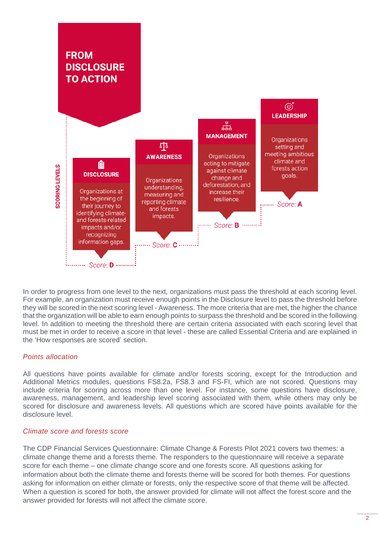

In order to progress from one level to the next, organizations must pass the threshold at each scoring level. For example, an organization must receive enough points in the Disclosure level to pass the threshold before they will be scored in the next scoring level - Awareness. The more criteria that are met, the higher the chance that the organization will be able to earn enough points to surpass the threshold and be scored in the following level. In addition to meeting the threshold there are certain criteria associated with each scoring level that must be met in order to receive a score in that level - these are called Essential Criteria and are explained in the 'How responses are scored' section.

## *Points allocation*

All questions have points available for climate and/or forests scoring, except for the Introduction and Additional Metrics modules, questions FS8.2a, FS8.3 and FS-FI, which are not scored. Questions may include criteria for scoring across more than one level. For instance, some questions have disclosure, awareness, management, and leadership level scoring associated with them, while others may only be scored for disclosure and awareness levels. All questions which are scored have points available for the disclosure level.

## *Climate score and forests score*

The CDP Financial Services Questionnaire: Climate Change & Forests Pilot 2021 covers two themes: a climate change theme and a forests theme. The responders to the questionnaire will receive a separate score for each theme – one climate change score and one forests score. All questions asking for information about both the climate theme and forests theme will be scored for both themes. For questions asking for information on either climate or forests, only the respective score of that theme will be affected. When a question is scored for both, the answer provided for climate will not affect the forest score and the answer provided for forests will not affect the climate score.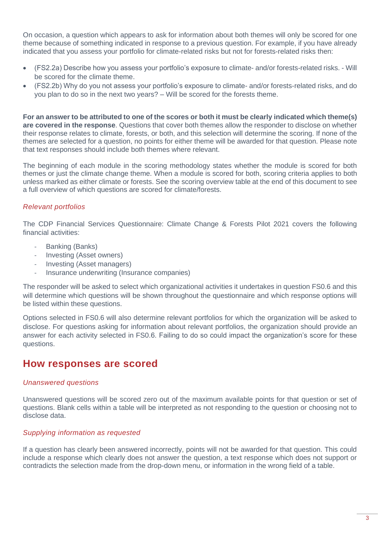On occasion, a question which appears to ask for information about both themes will only be scored for one theme because of something indicated in response to a previous question. For example, if you have already indicated that you assess your portfolio for climate-related risks but not for forests-related risks then:

- (FS2.2a) Describe how you assess your portfolio's exposure to climate- and/or forests-related risks. Will be scored for the climate theme.
- (FS2.2b) Why do you not assess your portfolio's exposure to climate- and/or forests-related risks, and do you plan to do so in the next two years? – Will be scored for the forests theme.

**For an answer to be attributed to one of the scores or both it must be clearly indicated which theme(s) are covered in the response**. Questions that cover both themes allow the responder to disclose on whether their response relates to climate, forests, or both, and this selection will determine the scoring. If none of the themes are selected for a question, no points for either theme will be awarded for that question. Please note that text responses should include both themes where relevant.

The beginning of each module in the scoring methodology states whether the module is scored for both themes or just the climate change theme. When a module is scored for both, scoring criteria applies to both unless marked as either climate or forests. See the scoring overview table at the end of this document to see a full overview of which questions are scored for climate/forests.

## *Relevant portfolios*

The CDP Financial Services Questionnaire: Climate Change & Forests Pilot 2021 covers the following financial activities:

- Banking (Banks)
- Investing (Asset owners)
- Investing (Asset managers)
- Insurance underwriting (Insurance companies)

The responder will be asked to select which organizational activities it undertakes in question FS0.6 and this will determine which questions will be shown throughout the questionnaire and which response options will be listed within these questions.

Options selected in FS0.6 will also determine relevant portfolios for which the organization will be asked to disclose. For questions asking for information about relevant portfolios, the organization should provide an answer for each activity selected in FS0.6. Failing to do so could impact the organization's score for these questions.

## **How responses are scored**

## *Unanswered questions*

Unanswered questions will be scored zero out of the maximum available points for that question or set of questions. Blank cells within a table will be interpreted as not responding to the question or choosing not to disclose data.

## *Supplying information as requested*

If a question has clearly been answered incorrectly, points will not be awarded for that question. This could include a response which clearly does not answer the question, a text response which does not support or contradicts the selection made from the drop-down menu, or information in the wrong field of a table.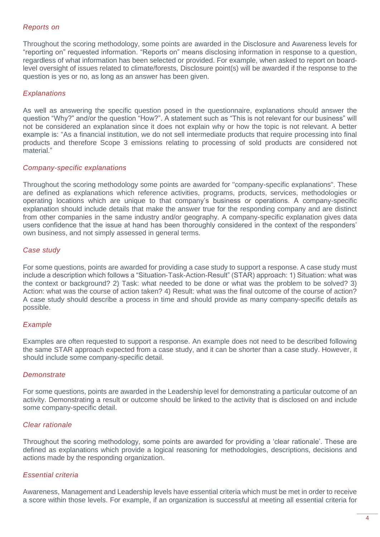## *Reports on*

Throughout the scoring methodology, some points are awarded in the Disclosure and Awareness levels for "reporting on" requested information. "Reports on" means disclosing information in response to a question, regardless of what information has been selected or provided. For example, when asked to report on boardlevel oversight of issues related to climate/forests, Disclosure point(s) will be awarded if the response to the question is yes or no, as long as an answer has been given.

## *Explanations*

As well as answering the specific question posed in the questionnaire, explanations should answer the question "Why?" and/or the question "How?". A statement such as "This is not relevant for our business" will not be considered an explanation since it does not explain why or how the topic is not relevant. A better example is: "As a financial institution, we do not sell intermediate products that require processing into final products and therefore Scope 3 emissions relating to processing of sold products are considered not material."

## *Company-specific explanations*

Throughout the scoring methodology some points are awarded for "company-specific explanations". These are defined as explanations which reference activities, programs, products, services, methodologies or operating locations which are unique to that company's business or operations. A company-specific explanation should include details that make the answer true for the responding company and are distinct from other companies in the same industry and/or geography. A company-specific explanation gives data users confidence that the issue at hand has been thoroughly considered in the context of the responders' own business, and not simply assessed in general terms.

## *Case study*

For some questions, points are awarded for providing a case study to support a response. A case study must include a description which follows a "Situation-Task-Action-Result" (STAR) approach: 1) Situation: what was the context or background? 2) Task: what needed to be done or what was the problem to be solved? 3) Action: what was the course of action taken? 4) Result: what was the final outcome of the course of action? A case study should describe a process in time and should provide as many company-specific details as possible.

## *Example*

Examples are often requested to support a response. An example does not need to be described following the same STAR approach expected from a case study, and it can be shorter than a case study. However, it should include some company-specific detail.

## *Demonstrate*

For some questions, points are awarded in the Leadership level for demonstrating a particular outcome of an activity. Demonstrating a result or outcome should be linked to the activity that is disclosed on and include some company-specific detail.

## *Clear rationale*

Throughout the scoring methodology, some points are awarded for providing a 'clear rationale'. These are defined as explanations which provide a logical reasoning for methodologies, descriptions, decisions and actions made by the responding organization.

## *Essential criteria*

Awareness, Management and Leadership levels have essential criteria which must be met in order to receive a score within those levels. For example, if an organization is successful at meeting all essential criteria for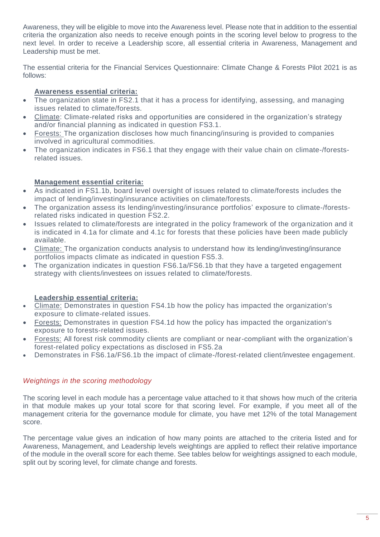Awareness, they will be eligible to move into the Awareness level. Please note that in addition to the essential criteria the organization also needs to receive enough points in the scoring level below to progress to the next level. In order to receive a Leadership score, all essential criteria in Awareness, Management and Leadership must be met.

The essential criteria for the Financial Services Questionnaire: Climate Change & Forests Pilot 2021 is as follows:

## **Awareness essential criteria:**

- The organization state in FS2.1 that it has a process for identifying, assessing, and managing issues related to climate/forests.
- Climate: Climate-related risks and opportunities are considered in the organization's strategy and/or financial planning as indicated in question FS3.1.
- Forests: The organization discloses how much financing/insuring is provided to companies involved in agricultural commodities.
- The organization indicates in FS6.1 that they engage with their value chain on climate-/forestsrelated issues.

## **Management essential criteria:**

- As indicated in FS1.1b, board level oversight of issues related to climate/forests includes the impact of lending/investing/insurance activities on climate/forests.
- The organization assess its lending/investing/insurance portfolios' exposure to climate-/forestsrelated risks indicated in question FS2.2.
- Issues related to climate/forests are integrated in the policy framework of the organization and it is indicated in 4.1a for climate and 4.1c for forests that these policies have been made publicly available.
- Climate: The organization conducts analysis to understand how its lending/investing/insurance portfolios impacts climate as indicated in question FS5.3.
- The organization indicates in question FS6.1a/FS6.1b that they have a targeted engagement strategy with clients/investees on issues related to climate/forests.

## **Leadership essential criteria:**

- Climate: Demonstrates in question FS4.1b how the policy has impacted the organization's exposure to climate-related issues.
- Forests: Demonstrates in question FS4.1d how the policy has impacted the organization's exposure to forests-related issues.
- Forests: All forest risk commodity clients are compliant or near-compliant with the organization's forest-related policy expectations as disclosed in FS5.2a
- Demonstrates in FS6.1a/FS6.1b the impact of climate-/forest-related client/investee engagement.

## *Weightings in the scoring methodology*

The scoring level in each module has a percentage value attached to it that shows how much of the criteria in that module makes up your total score for that scoring level. For example, if you meet all of the management criteria for the governance module for climate, you have met 12% of the total Management score.

The percentage value gives an indication of how many points are attached to the criteria listed and for Awareness, Management, and Leadership levels weightings are applied to reflect their relative importance of the module in the overall score for each theme. See tables below for weightings assigned to each module, split out by scoring level, for climate change and forests.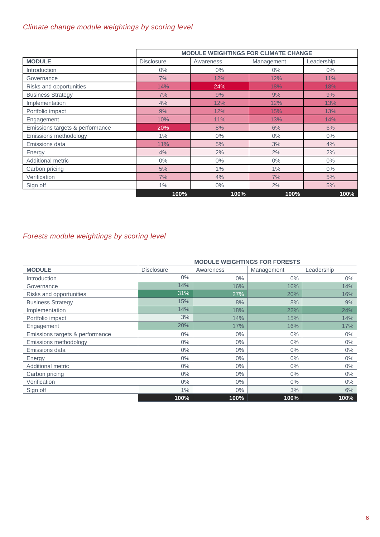## *Climate change module weightings by scoring level*

|                                 | <b>MODULE WEIGHTINGS FOR CLIMATE CHANGE</b> |           |            |            |  |  |  |
|---------------------------------|---------------------------------------------|-----------|------------|------------|--|--|--|
| <b>MODULE</b>                   | <b>Disclosure</b>                           | Awareness | Management | Leadership |  |  |  |
| Introduction                    | $0\%$                                       | $0\%$     | $0\%$      | $0\%$      |  |  |  |
| Governance                      | 7%                                          | 12%       | 12%        | 11%        |  |  |  |
| Risks and opportunities         | 14%                                         | 24%       | 18%        | 18%        |  |  |  |
| <b>Business Strategy</b>        | 7%                                          | 9%        | 9%         | 9%         |  |  |  |
| Implementation                  | 4%                                          | 12%       | 12%        | 13%        |  |  |  |
| Portfolio impact                | 9%                                          | 12%       | 15%        | 13%        |  |  |  |
| Engagement                      | 10%                                         | 11%       | 13%        | 14%        |  |  |  |
| Emissions targets & performance | 20%                                         | 8%        | 6%         | 6%         |  |  |  |
| Emissions methodology           | $1\%$                                       | $0\%$     | $0\%$      | $0\%$      |  |  |  |
| Emissions data                  | 11%                                         | 5%        | 3%         | 4%         |  |  |  |
| Energy                          | 4%                                          | 2%        | 2%         | 2%         |  |  |  |
| Additional metric               | $0\%$                                       | $0\%$     | $0\%$      | $0\%$      |  |  |  |
| Carbon pricing                  | 5%                                          | 1%        | 1%         | $0\%$      |  |  |  |
| Verification                    | 7%                                          | 4%        | 7%         | 5%         |  |  |  |
| Sign off                        | $1\%$                                       | $0\%$     | 2%         | 5%         |  |  |  |
|                                 | 100%                                        | 100%      | 100%       | 100%       |  |  |  |

## *Forests module weightings by scoring level*

| <b>MODULE WEIGHTINGS FOR FORESTS</b> |                   |           |            |            |  |  |  |
|--------------------------------------|-------------------|-----------|------------|------------|--|--|--|
| <b>MODULE</b>                        | <b>Disclosure</b> | Awareness | Management | Leadership |  |  |  |
| Introduction                         | $0\%$             | $0\%$     | $0\%$      | $0\%$      |  |  |  |
| Governance                           | 14%               | 16%       | 16%        | 14%        |  |  |  |
| Risks and opportunities              | 31%               | 27%       | 20%        | 16%        |  |  |  |
| <b>Business Strategy</b>             | 15%               | 8%        | 8%         | 9%         |  |  |  |
| Implementation                       | 14%               | 18%       | 22%        | 24%        |  |  |  |
| Portfolio impact                     | 3%                | 14%       | 15%        | 14%        |  |  |  |
| Engagement                           | 20%               | 17%       | 16%        | 17%        |  |  |  |
| Emissions targets & performance      | $0\%$             | $0\%$     | $0\%$      | 0%         |  |  |  |
| Emissions methodology                | $0\%$             | $0\%$     | $0\%$      | 0%         |  |  |  |
| Emissions data                       | $0\%$             | $0\%$     | $0\%$      | $0\%$      |  |  |  |
| Energy                               | $0\%$             | $0\%$     | $0\%$      | $0\%$      |  |  |  |
| <b>Additional metric</b>             | $0\%$             | $0\%$     | $0\%$      | $0\%$      |  |  |  |
| Carbon pricing                       | $0\%$             | $0\%$     | $0\%$      | $0\%$      |  |  |  |
| Verification                         | $0\%$             | $0\%$     | $0\%$      | $0\%$      |  |  |  |
| Sign off                             | 1%                | $0\%$     | 3%         | 6%         |  |  |  |
|                                      | 100%              | 100%      | 100%       | 100%       |  |  |  |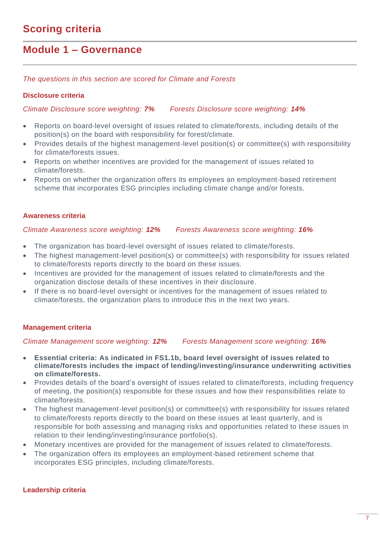## **Module 1 – Governance**

*The questions in this section are scored for Climate and Forests*

## **Disclosure criteria**

*Climate Disclosure score weighting: 7% Forests Disclosure score weighting: 14%*

- Reports on board-level oversight of issues related to climate/forests, including details of the position(s) on the board with responsibility for forest/climate.
- Provides details of the highest management-level position(s) or committee(s) with responsibility for climate/forests issues.
- Reports on whether incentives are provided for the management of issues related to climate/forests.
- Reports on whether the organization offers its employees an employment-based retirement scheme that incorporates ESG principles including climate change and/or forests.

## **Awareness criteria**

#### *Climate Awareness score weighting: 12% Forests Awareness score weighting: 16%*

- The organization has board-level oversight of issues related to climate/forests.
- The highest management-level position(s) or committee(s) with responsibility for issues related to climate/forests reports directly to the board on these issues.
- Incentives are provided for the management of issues related to climate/forests and the organization disclose details of these incentives in their disclosure.
- If there is no board-level oversight or incentives for the management of issues related to climate/forests, the organization plans to introduce this in the next two years.

## **Management criteria**

## *Climate Management score weighting: 12% Forests Management score weighting: 16%*

- **Essential criteria: As indicated in FS1.1b, board level oversight of issues related to climate/forests includes the impact of lending/investing/insurance underwriting activities on climate/forests.**
- Provides details of the board's oversight of issues related to climate/forests, including frequency of meeting, the position(s) responsible for these issues and how their responsibilities relate to climate/forests.
- The highest management-level position(s) or committee(s) with responsibility for issues related to climate/forests reports directly to the board on these issues at least quarterly, and is responsible for both assessing and managing risks and opportunities related to these issues in relation to their lending/investing/insurance portfolio(s).
- Monetary incentives are provided for the management of issues related to climate/forests.
- The organization offers its employees an employment-based retirement scheme that incorporates ESG principles, including climate/forests.

#### **Leadership criteria**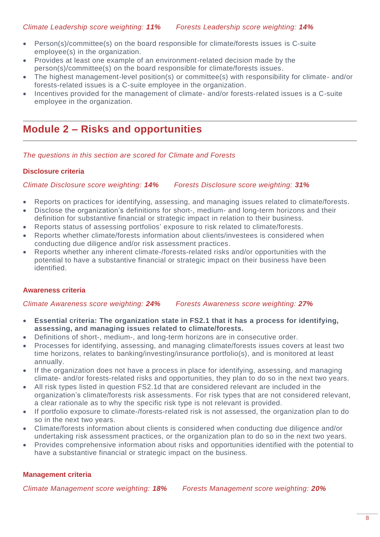- Person(s)/committee(s) on the board responsible for climate/forests issues is C-suite employee(s) in the organization.
- Provides at least one example of an environment-related decision made by the person(s)/committee(s) on the board responsible for climate/forests issues.
- The highest management-level position(s) or committee(s) with responsibility for climate- and/or forests-related issues is a C-suite employee in the organization.
- Incentives provided for the management of climate- and/or forests-related issues is a C-suite employee in the organization.

## **Module 2 – Risks and opportunities**

*The questions in this section are scored for Climate and Forests*

## **Disclosure criteria**

*Climate Disclosure score weighting: 14% Forests Disclosure score weighting: 31%*

- Reports on practices for identifying, assessing, and managing issues related to climate/forests.
- Disclose the organization's definitions for short-, medium- and long-term horizons and their definition for substantive financial or strategic impact in relation to their business.
- Reports status of assessing portfolios' exposure to risk related to climate/forests.
- Reports whether climate/forests information about clients/investees is considered when conducting due diligence and/or risk assessment practices.
- Reports whether any inherent climate-/forests-related risks and/or opportunities with the potential to have a substantive financial or strategic impact on their business have been identified.

## **Awareness criteria**

*Climate Awareness score weighting: 24% Forests Awareness score weighting: 27%*

- **Essential criteria: The organization state in FS2.1 that it has a process for identifying, assessing, and managing issues related to climate/forests.**
- Definitions of short-, medium-, and long-term horizons are in consecutive order.
- Processes for identifying, assessing, and managing climate/forests issues covers at least two time horizons, relates to banking/investing/insurance portfolio(s), and is monitored at least annually.
- If the organization does not have a process in place for identifying, assessing, and managing climate- and/or forests-related risks and opportunities, they plan to do so in the next two years.
- All risk types listed in question FS2.1d that are considered relevant are included in the organization's climate/forests risk assessments. For risk types that are not considered relevant, a clear rationale as to why the specific risk type is not relevant is provided.
- If portfolio exposure to climate-/forests-related risk is not assessed, the organization plan to do so in the next two years.
- Climate/forests information about clients is considered when conducting due diligence and/or undertaking risk assessment practices, or the organization plan to do so in the next two years.
- Provides comprehensive information about risks and opportunities identified with the potential to have a substantive financial or strategic impact on the business.

## **Management criteria**

*Climate Management score weighting: 18% Forests Management score weighting: 20%*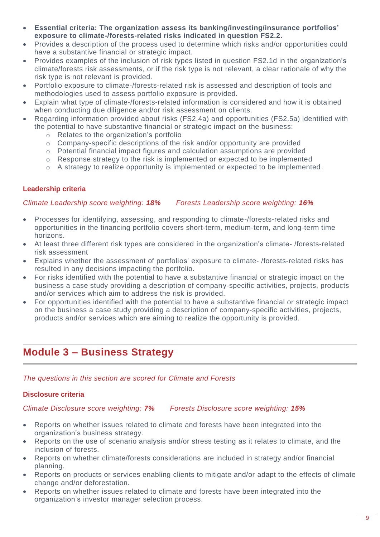- **Essential criteria: The organization assess its banking/investing/insurance portfolios' exposure to climate-/forests-related risks indicated in question FS2.2.**
- Provides a description of the process used to determine which risks and/or opportunities could have a substantive financial or strategic impact.
- Provides examples of the inclusion of risk types listed in question FS2.1d in the organization's climate/forests risk assessments, or if the risk type is not relevant, a clear rationale of why the risk type is not relevant is provided.
- Portfolio exposure to climate-/forests-related risk is assessed and description of tools and methodologies used to assess portfolio exposure is provided.
- Explain what type of climate-/forests-related information is considered and how it is obtained when conducting due diligence and/or risk assessment on clients.
- Regarding information provided about risks (FS2.4a) and opportunities (FS2.5a) identified with the potential to have substantive financial or strategic impact on the business:
	- o Relates to the organization's portfolio
	- o Company-specific descriptions of the risk and/or opportunity are provided
	- o Potential financial impact figures and calculation assumptions are provided
	- $\circ$  Response strategy to the risk is implemented or expected to be implemented
	- $\circ$  A strategy to realize opportunity is implemented or expected to be implemented.

## **Leadership criteria**

*Climate Leadership score weighting: 18% Forests Leadership score weighting: 16%*

- Processes for identifying, assessing, and responding to climate-/forests-related risks and opportunities in the financing portfolio covers short-term, medium-term, and long-term time horizons.
- At least three different risk types are considered in the organization's climate- /forests-related risk assessment
- Explains whether the assessment of portfolios' exposure to climate- /forests-related risks has resulted in any decisions impacting the portfolio.
- For risks identified with the potential to have a substantive financial or strategic impact on the business a case study providing a description of company-specific activities, projects, products and/or services which aim to address the risk is provided.
- For opportunities identified with the potential to have a substantive financial or strategic impact on the business a case study providing a description of company-specific activities, projects, products and/or services which are aiming to realize the opportunity is provided.

## **Module 3 – Business Strategy**

*The questions in this section are scored for Climate and Forests*

## **Disclosure criteria**

*Climate Disclosure score weighting: 7% Forests Disclosure score weighting: 15%*

- Reports on whether issues related to climate and forests have been integrated into the organization's business strategy.
- Reports on the use of scenario analysis and/or stress testing as it relates to climate, and the inclusion of forests.
- Reports on whether climate/forests considerations are included in strategy and/or financial planning.
- Reports on products or services enabling clients to mitigate and/or adapt to the effects of climate change and/or deforestation.
- Reports on whether issues related to climate and forests have been integrated into the organization's investor manager selection process.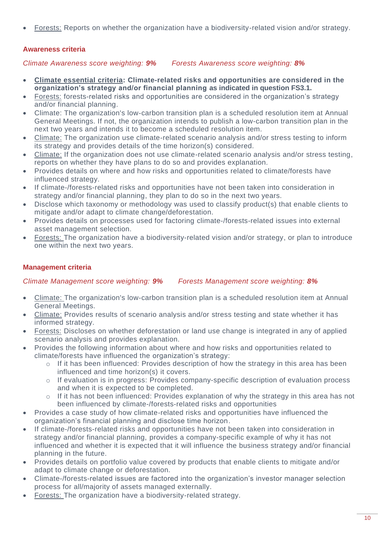• Forests: Reports on whether the organization have a biodiversity-related vision and/or strategy.

## **Awareness criteria**

*Climate Awareness score weighting: 9% Forests Awareness score weighting: 8%*

- **Climate essential criteria: Climate-related risks and opportunities are considered in the organization's strategy and/or financial planning as indicated in question FS3.1.**
- Forests: forests-related risks and opportunities are considered in the organization's strategy and/or financial planning.
- Climate: The organization's low-carbon transition plan is a scheduled resolution item at Annual General Meetings. If not, the organization intends to publish a low-carbon transition plan in the next two years and intends it to become a scheduled resolution item.
- Climate: The organization use climate-related scenario analysis and/or stress testing to inform its strategy and provides details of the time horizon(s) considered.
- Climate: If the organization does not use climate-related scenario analysis and/or stress testing, reports on whether they have plans to do so and provides explanation.
- Provides details on where and how risks and opportunities related to climate/forests have influenced strategy.
- If climate-/forests-related risks and opportunities have not been taken into consideration in strategy and/or financial planning, they plan to do so in the next two years.
- Disclose which taxonomy or methodology was used to classify product(s) that enable clients to mitigate and/or adapt to climate change/deforestation.
- Provides details on processes used for factoring climate-/forests-related issues into external asset management selection.
- Forests: The organization have a biodiversity-related vision and/or strategy, or plan to introduce one within the next two years.

## **Management criteria**

*Climate Management score weighting: 9% Forests Management score weighting: 8%*

- Climate: The organization's low-carbon transition plan is a scheduled resolution item at Annual General Meetings.
- Climate: Provides results of scenario analysis and/or stress testing and state whether it has informed strategy.
- Forests: Discloses on whether deforestation or land use change is integrated in any of applied scenario analysis and provides explanation.
- Provides the following information about where and how risks and opportunities related to climate/forests have influenced the organization's strategy:
	- o If it has been influenced: Provides description of how the strategy in this area has been influenced and time horizon(s) it covers.
	- o If evaluation is in progress: Provides company-specific description of evaluation process and when it is expected to be completed.
	- o If it has not been influenced: Provides explanation of why the strategy in this area has not been influenced by climate-/forests-related risks and opportunities
- Provides a case study of how climate-related risks and opportunities have influenced the organization's financial planning and disclose time horizon.
- If climate-/forests-related risks and opportunities have not been taken into consideration in strategy and/or financial planning, provides a company-specific example of why it has not influenced and whether it is expected that it will influence the business strategy and/or financial planning in the future.
- Provides details on portfolio value covered by products that enable clients to mitigate and/or adapt to climate change or deforestation.
- Climate-/forests-related issues are factored into the organization's investor manager selection process for all/majority of assets managed externally.
- Forests: The organization have a biodiversity-related strategy.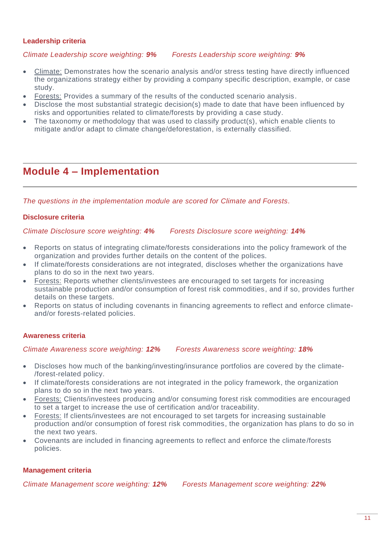## **Leadership criteria**

## *Climate Leadership score weighting: 9% Forests Leadership score weighting: 9%*

- Climate: Demonstrates how the scenario analysis and/or stress testing have directly influenced the organizations strategy either by providing a company specific description, example, or case study.
- Forests: Provides a summary of the results of the conducted scenario analysis.
- Disclose the most substantial strategic decision(s) made to date that have been influenced by risks and opportunities related to climate/forests by providing a case study.
- The taxonomy or methodology that was used to classify product(s), which enable clients to mitigate and/or adapt to climate change/deforestation, is externally classified.

## **Module 4 – Implementation**

*The questions in the implementation module are scored for Climate and Forests.*

## **Disclosure criteria**

*Climate Disclosure score weighting: 4% Forests Disclosure score weighting: 14%*

- Reports on status of integrating climate/forests considerations into the policy framework of the organization and provides further details on the content of the polices.
- If climate/forests considerations are not integrated, discloses whether the organizations have plans to do so in the next two years.
- Forests: Reports whether clients/investees are encouraged to set targets for increasing sustainable production and/or consumption of forest risk commodities, and if so, provides further details on these targets.
- Reports on status of including covenants in financing agreements to reflect and enforce climateand/or forests-related policies.

## **Awareness criteria**

*Climate Awareness score weighting: 12% Forests Awareness score weighting: 18%*

- Discloses how much of the banking/investing/insurance portfolios are covered by the climate- /forest-related policy.
- If climate/forests considerations are not integrated in the policy framework, the organization plans to do so in the next two years.
- Forests: Clients/investees producing and/or consuming forest risk commodities are encouraged to set a target to increase the use of certification and/or traceability.
- Forests: If clients/investees are not encouraged to set targets for increasing sustainable production and/or consumption of forest risk commodities, the organization has plans to do so in the next two years.
- Covenants are included in financing agreements to reflect and enforce the climate/forests policies.

## **Management criteria**

*Climate Management score weighting: 12% Forests Management score weighting: 22%*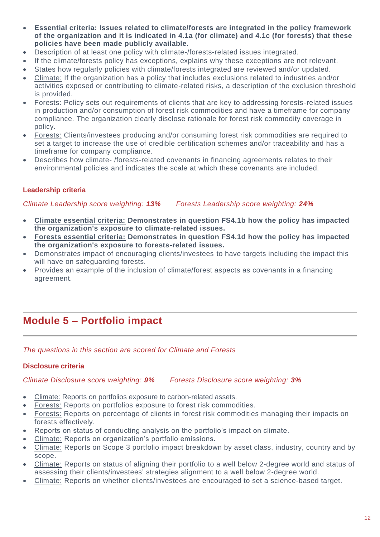- **Essential criteria: Issues related to climate/forests are integrated in the policy framework of the organization and it is indicated in 4.1a (for climate) and 4.1c (for forests) that these policies have been made publicly available.**
- Description of at least one policy with climate-/forests-related issues integrated.
- If the climate/forests policy has exceptions, explains why these exceptions are not relevant.
- States how regularly policies with climate/forests integrated are reviewed and/or updated.
- Climate: If the organization has a policy that includes exclusions related to industries and/or activities exposed or contributing to climate-related risks, a description of the exclusion threshold is provided.
- Forests: Policy sets out requirements of clients that are key to addressing forests-related issues in production and/or consumption of forest risk commodities and have a timeframe for company compliance. The organization clearly disclose rationale for forest risk commodity coverage in policy.
- Forests: Clients/investees producing and/or consuming forest risk commodities are required to set a target to increase the use of credible certification schemes and/or traceability and has a timeframe for company compliance.
- Describes how climate- /forests-related covenants in financing agreements relates to their environmental policies and indicates the scale at which these covenants are included.

## **Leadership criteria**

## *Climate Leadership score weighting: 13% Forests Leadership score weighting: 24%*

- **Climate essential criteria: Demonstrates in question FS4.1b how the policy has impacted the organization's exposure to climate-related issues.**
- **Forests essential criteria: Demonstrates in question FS4.1d how the policy has impacted the organization's exposure to forests-related issues.**
- Demonstrates impact of encouraging clients/investees to have targets including the impact this will have on safeguarding forests.
- Provides an example of the inclusion of climate/forest aspects as covenants in a financing agreement.

## **Module 5 – Portfolio impact**

*The questions in this section are scored for Climate and Forests*

## **Disclosure criteria**

*Climate Disclosure score weighting: 9% Forests Disclosure score weighting: 3%*

- Climate: Reports on portfolios exposure to carbon-related assets.
- Forests: Reports on portfolios exposure to forest risk commodities.
- Forests: Reports on percentage of clients in forest risk commodities managing their impacts on forests effectively.
- Reports on status of conducting analysis on the portfolio's impact on climate.
- Climate: Reports on organization's portfolio emissions.
- Climate: Reports on Scope 3 portfolio impact breakdown by asset class, industry, country and by scope.
- Climate: Reports on status of aligning their portfolio to a well below 2-degree world and status of assessing their clients/investees' strategies alignment to a well below 2-degree world.
- Climate: Reports on whether clients/investees are encouraged to set a science-based target.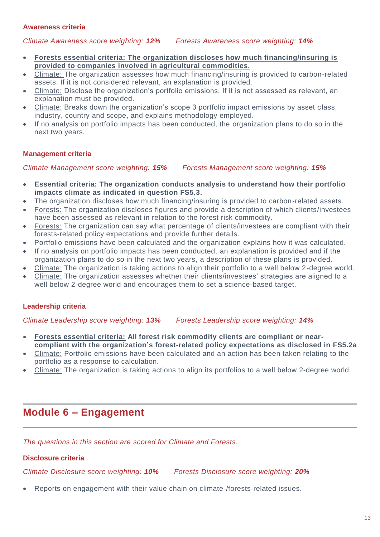## **Awareness criteria**

*Climate Awareness score weighting: 12% Forests Awareness score weighting: 14%*

- **Forests essential criteria: The organization discloses how much financing/insuring is provided to companies involved in agricultural commodities.**
- Climate: The organization assesses how much financing/insuring is provided to carbon-related assets. If it is not considered relevant, an explanation is provided.
- Climate: Disclose the organization's portfolio emissions. If it is not assessed as relevant, an explanation must be provided.
- Climate: Breaks down the organization's scope 3 portfolio impact emissions by asset class, industry, country and scope, and explains methodology employed.
- If no analysis on portfolio impacts has been conducted, the organization plans to do so in the next two years.

## **Management criteria**

*Climate Management score weighting: 15% Forests Management score weighting: 15%*

- **Essential criteria: The organization conducts analysis to understand how their portfolio impacts climate as indicated in question FS5.3.**
- The organization discloses how much financing/insuring is provided to carbon-related assets.
- Forests: The organization discloses figures and provide a description of which clients/investees have been assessed as relevant in relation to the forest risk commodity.
- Forests: The organization can say what percentage of clients/investees are compliant with their forests-related policy expectations and provide further details.
- Portfolio emissions have been calculated and the organization explains how it was calculated.
- If no analysis on portfolio impacts has been conducted, an explanation is provided and if the organization plans to do so in the next two years, a description of these plans is provided.
- Climate: The organization is taking actions to align their portfolio to a well below 2-degree world.
- Climate: The organization assesses whether their clients/investees' strategies are aligned to a well below 2-degree world and encourages them to set a science-based target.

## **Leadership criteria**

*Climate Leadership score weighting: 13% Forests Leadership score weighting: 14%*

- **Forests essential criteria: All forest risk commodity clients are compliant or nearcompliant with the organization's forest-related policy expectations as disclosed in FS5.2a**
- Climate: Portfolio emissions have been calculated and an action has been taken relating to the portfolio as a response to calculation.
- Climate: The organization is taking actions to align its portfolios to a well below 2-degree world.

## **Module 6 – Engagement**

*The questions in this section are scored for Climate and Forests.*

## **Disclosure criteria**

*Climate Disclosure score weighting: 10% Forests Disclosure score weighting: 20%*

• Reports on engagement with their value chain on climate-/forests-related issues.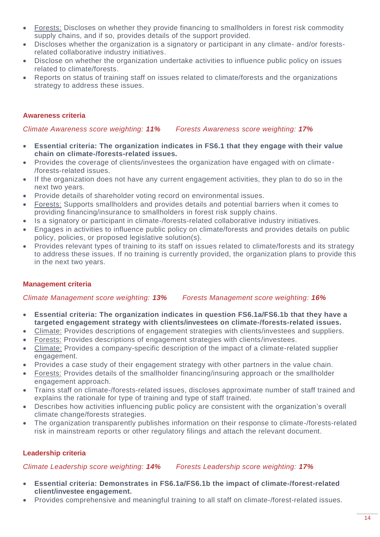- Forests: Discloses on whether they provide financing to smallholders in forest risk commodity supply chains, and if so, provides details of the support provided.
- Discloses whether the organization is a signatory or participant in any climate- and/or forestsrelated collaborative industry initiatives.
- Disclose on whether the organization undertake activities to influence public policy on issues related to climate/forests.
- Reports on status of training staff on issues related to climate/forests and the organizations strategy to address these issues.

## **Awareness criteria**

*Climate Awareness score weighting: 11% Forests Awareness score weighting: 17%*

- **Essential criteria: The organization indicates in FS6.1 that they engage with their value chain on climate-/forests-related issues.**
- Provides the coverage of clients/investees the organization have engaged with on climate- /forests-related issues.
- If the organization does not have any current engagement activities, they plan to do so in the next two years.
- Provide details of shareholder voting record on environmental issues.
- Forests: Supports smallholders and provides details and potential barriers when it comes to providing financing/insurance to smallholders in forest risk supply chains.
- Is a signatory or participant in climate-/forests-related collaborative industry initiatives.
- Engages in activities to influence public policy on climate/forests and provides details on public policy, policies, or proposed legislative solution(s).
- Provides relevant types of training to its staff on issues related to climate/forests and its strategy to address these issues. If no training is currently provided, the organization plans to provide this in the next two years.

## **Management criteria**

*Climate Management score weighting: 13% Forests Management score weighting: 16%*

- **Essential criteria: The organization indicates in question FS6.1a/FS6.1b that they have a targeted engagement strategy with clients/investees on climate-/forests-related issues.**
- Climate: Provides descriptions of engagement strategies with clients/investees and suppliers.
- Forests: Provides descriptions of engagement strategies with clients/investees.
- Climate: Provides a company-specific description of the impact of a climate-related supplier engagement.
- Provides a case study of their engagement strategy with other partners in the value chain.
- Forests: Provides details of the smallholder financing/insuring approach or the smallholder engagement approach.
- Trains staff on climate-/forests-related issues, discloses approximate number of staff trained and explains the rationale for type of training and type of staff trained.
- Describes how activities influencing public policy are consistent with the organization's overall climate change/forests strategies.
- The organization transparently publishes information on their response to climate-/forests-related risk in mainstream reports or other regulatory filings and attach the relevant document.

## **Leadership criteria**

*Climate Leadership score weighting: 14% Forests Leadership score weighting: 17%*

- **Essential criteria: Demonstrates in FS6.1a/FS6.1b the impact of climate-/forest-related client/investee engagement.**
- Provides comprehensive and meaningful training to all staff on climate-/forest-related issues.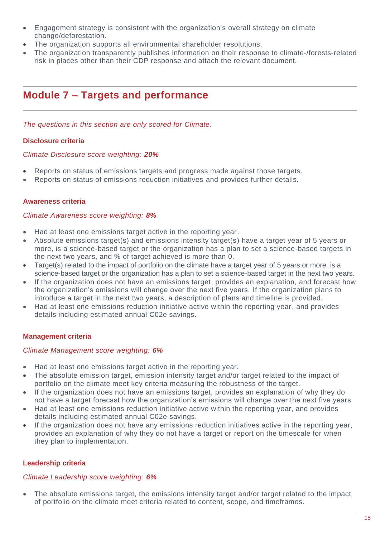- Engagement strategy is consistent with the organization's overall strategy on climate change/deforestation.
- The organization supports all environmental shareholder resolutions.
- The organization transparently publishes information on their response to climate-/forests-related risk in places other than their CDP response and attach the relevant document.

# **Module 7 – Targets and performance**

*The questions in this section are only scored for Climate.*

## **Disclosure criteria**

## *Climate Disclosure score weighting: 20%*

- Reports on status of emissions targets and progress made against those targets.
- Reports on status of emissions reduction initiatives and provides further details.

## **Awareness criteria**

#### *Climate Awareness score weighting: 8%*

- Had at least one emissions target active in the reporting year.
- Absolute emissions target(s) and emissions intensity target(s) have a target year of 5 years or more, is a science-based target or the organization has a plan to set a science-based targets in the next two years, and % of target achieved is more than 0.
- Target(s) related to the impact of portfolio on the climate have a target year of 5 years or more, is a science-based target or the organization has a plan to set a science-based target in the next two years.
- If the organization does not have an emissions target, provides an explanation, and forecast how the organization's emissions will change over the next five years. If the organization plans to introduce a target in the next two years, a description of plans and timeline is provided.
- Had at least one emissions reduction initiative active within the reporting year, and provides details including estimated annual C02e savings.

## **Management criteria**

## *Climate Management score weighting: 6%*

- Had at least one emissions target active in the reporting year.
- The absolute emission target, emission intensity target and/or target related to the impact of portfolio on the climate meet key criteria measuring the robustness of the target.
- If the organization does not have an emissions target, provides an explanation of why they do not have a target forecast how the organization's emissions will change over the next five years.
- Had at least one emissions reduction initiative active within the reporting year, and provides details including estimated annual C02e savings.
- If the organization does not have any emissions reduction initiatives active in the reporting year, provides an explanation of why they do not have a target or report on the timescale for when they plan to implementation.

## **Leadership criteria**

## *Climate Leadership score weighting: 6%*

The absolute emissions target, the emissions intensity target and/or target related to the impact of portfolio on the climate meet criteria related to content, scope, and timeframes.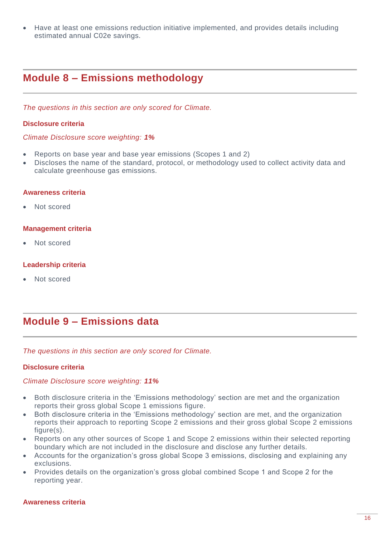• Have at least one emissions reduction initiative implemented, and provides details including estimated annual C02e savings.

## **Module 8 – Emissions methodology**

*The questions in this section are only scored for Climate.*

### **Disclosure criteria**

#### *Climate Disclosure score weighting: 1%*

- Reports on base year and base year emissions (Scopes 1 and 2)
- Discloses the name of the standard, protocol, or methodology used to collect activity data and calculate greenhouse gas emissions.

#### **Awareness criteria**

• Not scored

#### **Management criteria**

Not scored

#### **Leadership criteria**

Not scored

## **Module 9 – Emissions data**

*The questions in this section are only scored for Climate.*

#### **Disclosure criteria**

#### *Climate Disclosure score weighting: 11%*

- Both disclosure criteria in the 'Emissions methodology' section are met and the organization reports their gross global Scope 1 emissions figure.
- Both disclosure criteria in the 'Emissions methodology' section are met, and the organization reports their approach to reporting Scope 2 emissions and their gross global Scope 2 emissions figure(s).
- Reports on any other sources of Scope 1 and Scope 2 emissions within their selected reporting boundary which are not included in the disclosure and disclose any further details.
- Accounts for the organization's gross global Scope 3 emissions, disclosing and explaining any exclusions.
- Provides details on the organization's gross global combined Scope 1 and Scope 2 for the reporting year.

#### **Awareness criteria**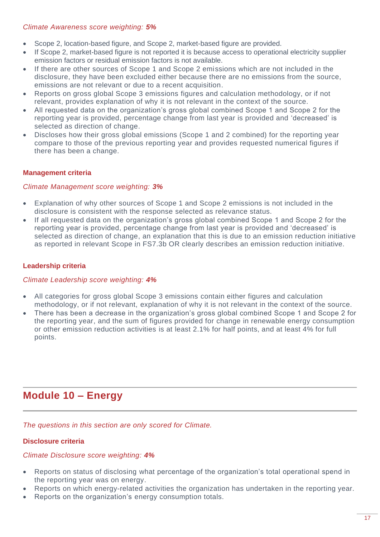## *Climate Awareness score weighting: 5%*

- Scope 2, location-based figure, and Scope 2, market-based figure are provided.
- If Scope 2, market-based figure is not reported it is because access to operational electricity supplier emission factors or residual emission factors is not available.
- If there are other sources of Scope 1 and Scope 2 emissions which are not included in the disclosure, they have been excluded either because there are no emissions from the source, emissions are not relevant or due to a recent acquisition.
- Reports on gross global Scope 3 emissions figures and calculation methodology, or if not relevant, provides explanation of why it is not relevant in the context of the source.
- All requested data on the organization's gross global combined Scope 1 and Scope 2 for the reporting year is provided, percentage change from last year is provided and 'decreased' is selected as direction of change.
- Discloses how their gross global emissions (Scope 1 and 2 combined) for the reporting year compare to those of the previous reporting year and provides requested numerical figures if there has been a change.

## **Management criteria**

## *Climate Management score weighting: 3%*

- Explanation of why other sources of Scope 1 and Scope 2 emissions is not included in the disclosure is consistent with the response selected as relevance status.
- If all requested data on the organization's gross global combined Scope 1 and Scope 2 for the reporting year is provided, percentage change from last year is provided and 'decreased' is selected as direction of change, an explanation that this is due to an emission reduction initiative as reported in relevant Scope in FS7.3b OR clearly describes an emission reduction initiative.

## **Leadership criteria**

## *Climate Leadership score weighting: 4%*

- All categories for gross global Scope 3 emissions contain either figures and calculation methodology, or if not relevant, explanation of why it is not relevant in the context of the source.
- There has been a decrease in the organization's gross global combined Scope 1 and Scope 2 for the reporting year, and the sum of figures provided for change in renewable energy consumption or other emission reduction activities is at least 2.1% for half points, and at least 4% for full points.

## **Module 10 – Energy**

*The questions in this section are only scored for Climate.*

## **Disclosure criteria**

## *Climate Disclosure score weighting: 4%*

- Reports on status of disclosing what percentage of the organization's total operational spend in the reporting year was on energy.
- Reports on which energy-related activities the organization has undertaken in the reporting year.
- Reports on the organization's energy consumption totals.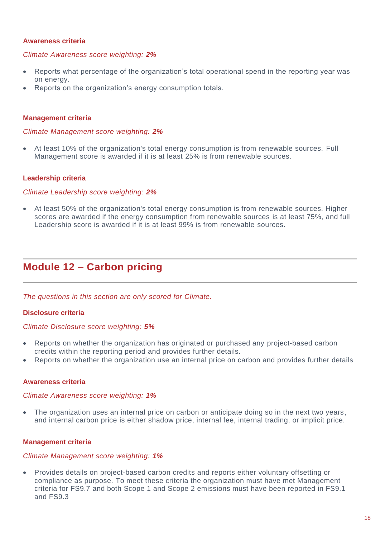## **Awareness criteria**

#### *Climate Awareness score weighting: 2%*

- Reports what percentage of the organization's total operational spend in the reporting year was on energy.
- Reports on the organization's energy consumption totals.

#### **Management criteria**

#### *Climate Management score weighting: 2%*

• At least 10% of the organization's total energy consumption is from renewable sources. Full Management score is awarded if it is at least 25% is from renewable sources.

#### **Leadership criteria**

#### *Climate Leadership score weighting: 2%*

• At least 50% of the organization's total energy consumption is from renewable sources. Higher scores are awarded if the energy consumption from renewable sources is at least 75%, and full Leadership score is awarded if it is at least 99% is from renewable sources.

## **Module 12 – Carbon pricing**

*The questions in this section are only scored for Climate.*

#### **Disclosure criteria**

#### *Climate Disclosure score weighting: 5%*

- Reports on whether the organization has originated or purchased any project-based carbon credits within the reporting period and provides further details.
- Reports on whether the organization use an internal price on carbon and provides further details

#### **Awareness criteria**

#### *Climate Awareness score weighting: 1%*

The organization uses an internal price on carbon or anticipate doing so in the next two years, and internal carbon price is either shadow price, internal fee, internal trading, or implicit price.

#### **Management criteria**

## *Climate Management score weighting: 1%*

• Provides details on project-based carbon credits and reports either voluntary offsetting or compliance as purpose. To meet these criteria the organization must have met Management criteria for FS9.7 and both Scope 1 and Scope 2 emissions must have been reported in FS9.1 and FS9.3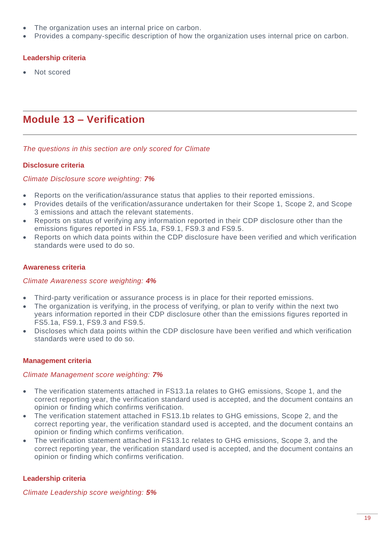- The organization uses an internal price on carbon.
- Provides a company-specific description of how the organization uses internal price on carbon.

## **Leadership criteria**

• Not scored

# **Module 13 – Verification**

*The questions in this section are only scored for Climate*

## **Disclosure criteria**

## *Climate Disclosure score weighting: 7%*

- Reports on the verification/assurance status that applies to their reported emissions.
- Provides details of the verification/assurance undertaken for their Scope 1, Scope 2, and Scope 3 emissions and attach the relevant statements.
- Reports on status of verifying any information reported in their CDP disclosure other than the emissions figures reported in FS5.1a, FS9.1, FS9.3 and FS9.5.
- Reports on which data points within the CDP disclosure have been verified and which verification standards were used to do so.

## **Awareness criteria**

## *Climate Awareness score weighting: 4%*

- Third-party verification or assurance process is in place for their reported emissions.
- The organization is verifying, in the process of verifying, or plan to verify within the next two years information reported in their CDP disclosure other than the emissions figures reported in FS5.1a, FS9.1, FS9.3 and FS9.5.
- Discloses which data points within the CDP disclosure have been verified and which verification standards were used to do so.

## **Management criteria**

## *Climate Management score weighting: 7%*

- The verification statements attached in FS13.1a relates to GHG emissions, Scope 1, and the correct reporting year, the verification standard used is accepted, and the document contains an opinion or finding which confirms verification.
- The verification statement attached in FS13.1b relates to GHG emissions, Scope 2, and the correct reporting year, the verification standard used is accepted, and the document contains an opinion or finding which confirms verification.
- The verification statement attached in FS13.1c relates to GHG emissions, Scope 3, and the correct reporting year, the verification standard used is accepted, and the document contains an opinion or finding which confirms verification.

## **Leadership criteria**

*Climate Leadership score weighting: 5%*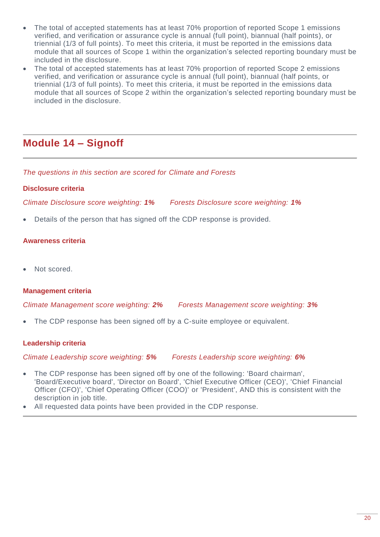- The total of accepted statements has at least 70% proportion of reported Scope 1 emissions verified, and verification or assurance cycle is annual (full point), biannual (half points), or triennial (1/3 of full points). To meet this criteria, it must be reported in the emissions data module that all sources of Scope 1 within the organization's selected reporting boundary must be included in the disclosure.
- The total of accepted statements has at least 70% proportion of reported Scope 2 emissions verified, and verification or assurance cycle is annual (full point), biannual (half points, or triennial (1/3 of full points). To meet this criteria, it must be reported in the emissions data module that all sources of Scope 2 within the organization's selected reporting boundary must be included in the disclosure.

# **Module 14 – Signoff**

*The questions in this section are scored for Climate and Forests*

## **Disclosure criteria**

*Climate Disclosure score weighting: 1% Forests Disclosure score weighting: 1%*

• Details of the person that has signed off the CDP response is provided.

## **Awareness criteria**

Not scored.

## **Management criteria**

*Climate Management score weighting: 2% Forests Management score weighting: 3%*

The CDP response has been signed off by a C-suite employee or equivalent.

## **Leadership criteria**

*Climate Leadership score weighting: 5% Forests Leadership score weighting: 6%*

- The CDP response has been signed off by one of the following: 'Board chairman', 'Board/Executive board', 'Director on Board', 'Chief Executive Officer (CEO)', 'Chief Financial Officer (CFO)', 'Chief Operating Officer (COO)' or 'President', AND this is consistent with the description in job title.
- All requested data points have been provided in the CDP response.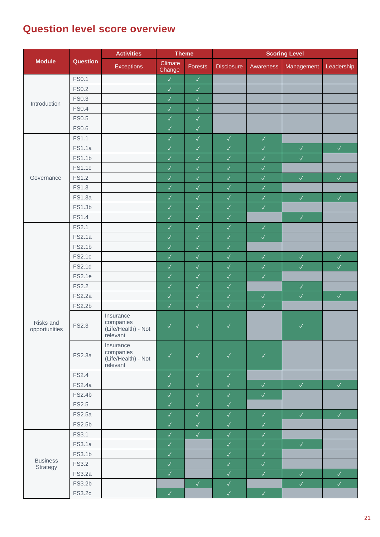# **Question level score overview**

|                             |               | <b>Activities</b>                                         | <b>Theme</b>      |              | <b>Scoring Level</b> |              |              |              |
|-----------------------------|---------------|-----------------------------------------------------------|-------------------|--------------|----------------------|--------------|--------------|--------------|
| <b>Module</b>               | Question      | <b>Exceptions</b>                                         | Climate<br>Change | Forests      | <b>Disclosure</b>    | Awareness    | Management   | Leadership   |
|                             | <b>FS0.1</b>  |                                                           | $\checkmark$      | $\checkmark$ |                      |              |              |              |
|                             | <b>FS0.2</b>  |                                                           | $\checkmark$      | $\checkmark$ |                      |              |              |              |
| Introduction<br>Governance  | <b>FS0.3</b>  |                                                           | $\checkmark$      | $\checkmark$ |                      |              |              |              |
|                             | <b>FS0.4</b>  |                                                           | $\checkmark$      | $\checkmark$ |                      |              |              |              |
|                             | <b>FS0.5</b>  |                                                           | $\checkmark$      | $\checkmark$ |                      |              |              |              |
|                             | <b>FS0.6</b>  |                                                           | $\checkmark$      | $\sqrt{}$    |                      |              |              |              |
| Risks and<br>opportunities  | <b>FS1.1</b>  |                                                           | $\checkmark$      | $\checkmark$ | $\checkmark$         | $\checkmark$ |              |              |
|                             | <b>FS1.1a</b> |                                                           | $\checkmark$      | $\checkmark$ | $\checkmark$         | $\checkmark$ | $\checkmark$ | $\checkmark$ |
|                             | FS1.1b        |                                                           | $\checkmark$      | $\checkmark$ | $\checkmark$         | $\checkmark$ | $\checkmark$ |              |
|                             | <b>FS1.1c</b> |                                                           | $\checkmark$      | $\checkmark$ | $\checkmark$         | $\checkmark$ |              |              |
|                             | <b>FS1.2</b>  |                                                           | $\checkmark$      | $\sqrt{2}$   | $\checkmark$         | $\checkmark$ | $\checkmark$ | $\checkmark$ |
|                             | FS1.3         |                                                           | $\checkmark$      | $\checkmark$ | $\checkmark$         | $\checkmark$ |              |              |
|                             | <b>FS1.3a</b> |                                                           | $\checkmark$      | $\sqrt{}$    | $\checkmark$         | $\checkmark$ | $\checkmark$ | $\checkmark$ |
|                             | FS1.3b        |                                                           | $\checkmark$      | $\sqrt{2}$   | $\checkmark$         | $\checkmark$ |              |              |
|                             | <b>FS1.4</b>  |                                                           | $\checkmark$      | $\checkmark$ | $\checkmark$         |              | $\checkmark$ |              |
|                             | <b>FS2.1</b>  |                                                           | $\checkmark$      | $\checkmark$ | $\checkmark$         | $\checkmark$ |              |              |
|                             | <b>FS2.1a</b> |                                                           | $\checkmark$      | $\sqrt{}$    | $\checkmark$         | $\checkmark$ |              |              |
|                             | FS2.1b        |                                                           | $\checkmark$      | $\sqrt{}$    | $\checkmark$         |              |              |              |
|                             | FS2.1c        |                                                           | $\checkmark$      | $\sqrt{}$    | $\checkmark$         | $\checkmark$ | $\checkmark$ | $\checkmark$ |
|                             | <b>FS2.1d</b> |                                                           | $\checkmark$      | $\sqrt{}$    | $\checkmark$         | $\checkmark$ | $\checkmark$ | $\checkmark$ |
|                             | <b>FS2.1e</b> |                                                           | $\checkmark$      | $\checkmark$ | $\checkmark$         | $\checkmark$ |              |              |
|                             | <b>FS2.2</b>  |                                                           | $\checkmark$      | $\checkmark$ | $\checkmark$         |              | $\checkmark$ |              |
|                             | <b>FS2.2a</b> |                                                           | $\checkmark$      | $\checkmark$ | $\checkmark$         | $\checkmark$ | $\checkmark$ | $\checkmark$ |
|                             | FS2.2b        |                                                           | $\checkmark$      | $\checkmark$ | $\checkmark$         | $\checkmark$ |              |              |
|                             | FS2.3         | Insurance<br>companies<br>(Life/Health) - Not<br>relevant | $\checkmark$      | $\checkmark$ | $\checkmark$         |              | $\checkmark$ |              |
|                             | <b>FS2.3a</b> | Insurance<br>companies<br>(Life/Health) - Not<br>relevant | $\checkmark$      | $\checkmark$ | $\checkmark$         | $\checkmark$ |              |              |
|                             | <b>FS2.4</b>  |                                                           | $\checkmark$      | $\checkmark$ | $\checkmark$         |              |              |              |
|                             | <b>FS2.4a</b> |                                                           | $\checkmark$      | $\checkmark$ | $\sqrt{}$            | $\checkmark$ | $\sqrt{ }$   | $\sqrt{2}$   |
|                             | FS2.4b        |                                                           | $\checkmark$      | $\checkmark$ | $\checkmark$         | $\checkmark$ |              |              |
|                             | <b>FS2.5</b>  |                                                           | $\checkmark$      | $\checkmark$ | $\checkmark$         |              |              |              |
|                             | <b>FS2.5a</b> |                                                           | $\checkmark$      | $\checkmark$ | $\checkmark$         | $\sqrt{ }$   | $\sqrt{2}$   | $\checkmark$ |
|                             | FS2.5b        |                                                           | $\checkmark$      | $\checkmark$ | $\checkmark$         | $\checkmark$ |              |              |
|                             | FS3.1         |                                                           | $\checkmark$      | $\checkmark$ | $\checkmark$         | $\checkmark$ |              |              |
|                             | <b>FS3.1a</b> |                                                           | $\checkmark$      |              | $\sqrt{}$            | $\checkmark$ | $\checkmark$ |              |
|                             | FS3.1b        |                                                           | $\checkmark$      |              | $\sqrt{}$            | $\checkmark$ |              |              |
| <b>Business</b><br>Strategy | <b>FS3.2</b>  |                                                           | $\checkmark$      |              | $\checkmark$         | $\checkmark$ |              |              |
|                             | <b>FS3.2a</b> |                                                           | $\checkmark$      |              | $\checkmark$         | $\checkmark$ | $\sqrt{2}$   | $\checkmark$ |
|                             | FS3.2b        |                                                           |                   | $\sqrt{ }$   | $\checkmark$         |              | $\checkmark$ | $\checkmark$ |
|                             | <b>FS3.2c</b> |                                                           | $\checkmark$      |              | $\checkmark$         | $\checkmark$ |              |              |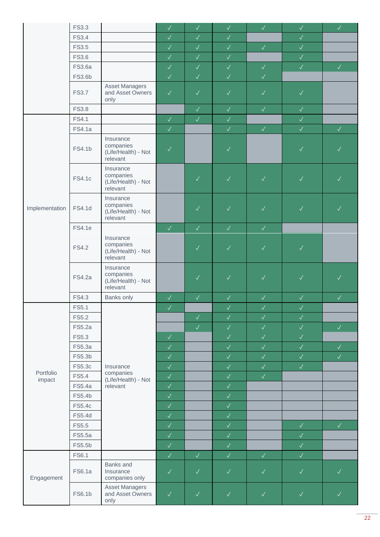|                | <b>FS3.3</b>  |                                                           | $\checkmark$ | $\checkmark$ | $\checkmark$ | $\checkmark$ | $\checkmark$ | $\sqrt{\phantom{a}}$ |
|----------------|---------------|-----------------------------------------------------------|--------------|--------------|--------------|--------------|--------------|----------------------|
|                | <b>FS3.4</b>  |                                                           | $\checkmark$ | $\sqrt{2}$   | $\checkmark$ |              | $\checkmark$ |                      |
|                | <b>FS3.5</b>  |                                                           | $\checkmark$ | $\checkmark$ | $\checkmark$ | V            | $\checkmark$ |                      |
|                | <b>FS3.6</b>  |                                                           | $\checkmark$ | $\checkmark$ | $\checkmark$ |              | $\checkmark$ |                      |
|                | <b>FS3.6a</b> |                                                           | $\checkmark$ | $\checkmark$ | $\checkmark$ | $\checkmark$ | $\sqrt{2}$   | $\sqrt{-}$           |
|                | FS3.6b        |                                                           | $\checkmark$ | $\checkmark$ | $\sqrt{2}$   | $\checkmark$ |              |                      |
|                | <b>FS3.7</b>  | <b>Asset Managers</b><br>and Asset Owners<br>only         | $\checkmark$ | $\checkmark$ | $\checkmark$ | $\checkmark$ | $\checkmark$ |                      |
|                | <b>FS3.8</b>  |                                                           |              | $\checkmark$ | $\checkmark$ | $\checkmark$ | $\checkmark$ |                      |
|                | <b>FS4.1</b>  |                                                           | $\checkmark$ | $\checkmark$ | $\checkmark$ |              | $\checkmark$ |                      |
|                | <b>FS4.1a</b> |                                                           | $\checkmark$ |              | $\checkmark$ | $\sqrt{2}$   | $\checkmark$ | $\checkmark$         |
|                | FS4.1b        | Insurance<br>companies<br>(Life/Health) - Not<br>relevant | $\checkmark$ |              | $\checkmark$ |              | $\checkmark$ | $\checkmark$         |
|                | <b>FS4.1c</b> | Insurance<br>companies<br>(Life/Health) - Not<br>relevant |              | $\checkmark$ | $\checkmark$ | $\checkmark$ | $\checkmark$ | $\checkmark$         |
| Implementation | FS4.1d        | Insurance<br>companies<br>(Life/Health) - Not<br>relevant |              | $\checkmark$ | $\sqrt{}$    | $\checkmark$ | $\checkmark$ | $\checkmark$         |
|                | <b>FS4.1e</b> |                                                           | $\checkmark$ | $\checkmark$ | $\sqrt{2}$   | $\checkmark$ |              |                      |
|                | <b>FS4.2</b>  | Insurance<br>companies<br>(Life/Health) - Not<br>relevant |              | $\checkmark$ | $\checkmark$ | $\checkmark$ | $\checkmark$ |                      |
|                | <b>FS4.2a</b> | Insurance<br>companies<br>(Life/Health) - Not<br>relevant |              | $\checkmark$ | $\checkmark$ | $\checkmark$ | $\checkmark$ | $\checkmark$         |
|                | FS4.3         | Banks only                                                | $\sqrt{}$    | $\checkmark$ | $\checkmark$ | $\checkmark$ | $\checkmark$ | $\checkmark$         |
|                | FS5.1         |                                                           | $\sqrt{2}$   |              | $\checkmark$ | $\checkmark$ | $\checkmark$ |                      |
|                | <b>FS5.2</b>  |                                                           |              | $\checkmark$ | $\checkmark$ | $\checkmark$ | $\checkmark$ |                      |
|                | <b>FS5.2a</b> |                                                           |              | $\checkmark$ | $\checkmark$ | $\checkmark$ | $\checkmark$ | $\checkmark$         |
|                | FS5.3         |                                                           | $\checkmark$ |              | $\checkmark$ | $\checkmark$ | $\checkmark$ |                      |
|                | FS5.3a        |                                                           | $\checkmark$ |              | $\checkmark$ | $\checkmark$ | $\checkmark$ | $\checkmark$         |
|                | FS5.3b        |                                                           | $\checkmark$ |              | $\checkmark$ | $\checkmark$ | $\checkmark$ | $\checkmark$         |
|                | FS5.3c        | Insurance                                                 | $\checkmark$ |              | $\checkmark$ | $\checkmark$ | $\checkmark$ |                      |
| Portfolio      | FS5.4         | companies                                                 | $\checkmark$ |              | $\checkmark$ | $\checkmark$ |              |                      |
| impact         | FS5.4a        | (Life/Health) - Not<br>relevant                           | $\checkmark$ |              | $\checkmark$ |              |              |                      |
|                | FS5.4b        |                                                           | $\checkmark$ |              | $\checkmark$ |              |              |                      |
|                | <b>FS5.4c</b> |                                                           | $\checkmark$ |              | $\checkmark$ |              |              |                      |
|                | FS5.4d        |                                                           | $\checkmark$ |              | $\checkmark$ |              |              |                      |
|                | <b>FS5.5</b>  |                                                           | $\checkmark$ |              | $\checkmark$ |              | $\checkmark$ | $\checkmark$         |
|                | FS5.5a        |                                                           | $\checkmark$ |              | $\checkmark$ |              | $\checkmark$ |                      |
|                | FS5.5b        |                                                           | $\checkmark$ |              | $\checkmark$ |              | $\checkmark$ |                      |
|                | FS6.1         |                                                           | $\checkmark$ | $\checkmark$ | $\checkmark$ | $\checkmark$ | $\checkmark$ |                      |
| Engagement     | <b>FS6.1a</b> | Banks and<br>Insurance<br>companies only                  | $\checkmark$ | $\checkmark$ | $\checkmark$ | $\checkmark$ | $\checkmark$ | $\checkmark$         |
|                | FS6.1b        | <b>Asset Managers</b><br>and Asset Owners<br>only         | $\checkmark$ | $\checkmark$ | $\checkmark$ | $\checkmark$ | $\checkmark$ | $\checkmark$         |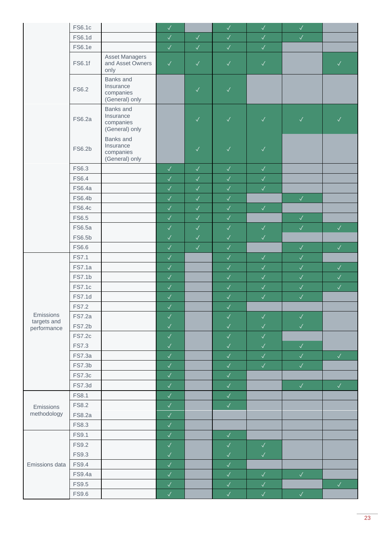|                            | FS6.1c        |                                                       | $\checkmark$ |              | $\checkmark$ | $\checkmark$ | $\checkmark$         |                      |
|----------------------------|---------------|-------------------------------------------------------|--------------|--------------|--------------|--------------|----------------------|----------------------|
|                            | FS6.1d        |                                                       | $\checkmark$ | $\checkmark$ | $\sqrt{2}$   | $\checkmark$ | $\checkmark$         |                      |
|                            | <b>FS6.1e</b> |                                                       | $\checkmark$ | $\checkmark$ | $\sqrt{2}$   | $\checkmark$ |                      |                      |
|                            | FS6.1f        | <b>Asset Managers</b><br>and Asset Owners<br>only     | $\checkmark$ | $\checkmark$ | $\checkmark$ | $\checkmark$ |                      | $\checkmark$         |
|                            | FS6.2         | Banks and<br>Insurance<br>companies<br>(General) only |              | $\checkmark$ | $\checkmark$ |              |                      |                      |
|                            | <b>FS6.2a</b> | Banks and<br>Insurance<br>companies<br>(General) only |              | $\checkmark$ | $\checkmark$ | $\checkmark$ | $\checkmark$         | $\checkmark$         |
|                            | FS6.2b        | Banks and<br>Insurance<br>companies<br>(General) only |              | $\checkmark$ | $\checkmark$ | $\checkmark$ |                      |                      |
|                            | FS6.3         |                                                       | $\checkmark$ | $\checkmark$ | $\sqrt{2}$   | $\sqrt{ }$   |                      |                      |
|                            | FS6.4         |                                                       | $\checkmark$ | $\checkmark$ | $\checkmark$ | $\checkmark$ |                      |                      |
|                            | <b>FS6.4a</b> |                                                       | $\checkmark$ | $\checkmark$ | $\checkmark$ | $\checkmark$ |                      |                      |
|                            | FS6.4b        |                                                       | $\checkmark$ | $\checkmark$ | $\sqrt{2}$   |              | $\sqrt{\phantom{a}}$ |                      |
|                            | <b>FS6.4c</b> |                                                       | $\sqrt{}$    | $\checkmark$ | $\checkmark$ | $\sqrt{2}$   |                      |                      |
|                            | FS6.5         |                                                       | $\checkmark$ | $\checkmark$ | $\sqrt{}$    |              | $\sqrt{\phantom{a}}$ |                      |
|                            | FS6.5a        |                                                       | $\checkmark$ | $\checkmark$ | $\checkmark$ | $\sqrt{ }$   | $\checkmark$         | $\sqrt{\phantom{a}}$ |
|                            | FS6.5b        |                                                       | $\checkmark$ | $\checkmark$ | $\checkmark$ | $\checkmark$ |                      |                      |
|                            | FS6.6         |                                                       | $\checkmark$ | $\checkmark$ | $\sqrt{2}$   |              | $\checkmark$         | $\checkmark$         |
|                            | <b>FS7.1</b>  |                                                       | $\sqrt{ }$   |              | $\sqrt{2}$   | $\sqrt{2}$   | $\checkmark$         |                      |
|                            | <b>FS7.1a</b> |                                                       | $\checkmark$ |              | $\sqrt{2}$   | $\checkmark$ | $\checkmark$         | $\checkmark$         |
|                            | <b>FS7.1b</b> |                                                       | $\checkmark$ |              | $\checkmark$ | $\checkmark$ | $\checkmark$         | $\checkmark$         |
|                            | <b>FS7.1c</b> |                                                       | $\checkmark$ |              | $\sqrt{2}$   | $\checkmark$ | $\checkmark$         | $\checkmark$         |
|                            | <b>FS7.1d</b> |                                                       | $\checkmark$ |              | $\checkmark$ | $\checkmark$ | $\checkmark$         |                      |
|                            | <b>FS7.2</b>  |                                                       | $\checkmark$ |              | $\sqrt{2}$   |              |                      |                      |
| Emissions                  | <b>FS7.2a</b> |                                                       | $\checkmark$ |              | $\checkmark$ | $\checkmark$ | $\checkmark$         |                      |
|                            | <b>FS7.2b</b> |                                                       | $\checkmark$ |              | $\checkmark$ | $\checkmark$ | $\checkmark$         |                      |
| targets and<br>performance | <b>FS7.2c</b> |                                                       | $\checkmark$ |              | $\checkmark$ | $\checkmark$ |                      |                      |
|                            | <b>FS7.3</b>  |                                                       | $\checkmark$ |              | $\checkmark$ | $\checkmark$ | $\checkmark$         |                      |
|                            | <b>FS7.3a</b> |                                                       | $\checkmark$ |              | $\checkmark$ | $\checkmark$ | $\checkmark$         | $\checkmark$         |
|                            | FS7.3b        |                                                       | $\checkmark$ |              | $\checkmark$ | $\checkmark$ | $\checkmark$         |                      |
|                            | <b>FS7.3c</b> |                                                       | $\checkmark$ |              | $\checkmark$ |              |                      |                      |
|                            | <b>FS7.3d</b> |                                                       | $\checkmark$ |              | $\checkmark$ |              | $\checkmark$         | $\checkmark$         |
|                            | <b>FS8.1</b>  |                                                       | $\checkmark$ |              | $\checkmark$ |              |                      |                      |
| Emissions                  | FS8.2         |                                                       | $\checkmark$ |              | $\sqrt{2}$   |              |                      |                      |
| methodology                | <b>FS8.2a</b> |                                                       | $\checkmark$ |              |              |              |                      |                      |
|                            | FS8.3         |                                                       | $\checkmark$ |              |              |              |                      |                      |
|                            | FS9.1         |                                                       | $\checkmark$ |              | $\checkmark$ |              |                      |                      |
|                            | <b>FS9.2</b>  |                                                       | $\checkmark$ |              | $\checkmark$ | $\sqrt{ }$   |                      |                      |
|                            | FS9.3         |                                                       | $\checkmark$ |              | $\checkmark$ | $\checkmark$ |                      |                      |
| Emissions data             | FS9.4         |                                                       | $\checkmark$ |              | $\checkmark$ |              |                      |                      |
|                            | <b>FS9.4a</b> |                                                       | $\checkmark$ |              | $\sqrt{2}$   | $\checkmark$ | $\checkmark$         |                      |
|                            | <b>FS9.5</b>  |                                                       | $\checkmark$ |              | $\checkmark$ | $\checkmark$ |                      | $\checkmark$         |
|                            | <b>FS9.6</b>  |                                                       |              |              |              |              |                      |                      |
|                            |               |                                                       | $\checkmark$ |              | $\checkmark$ | $\checkmark$ | $\checkmark$         |                      |